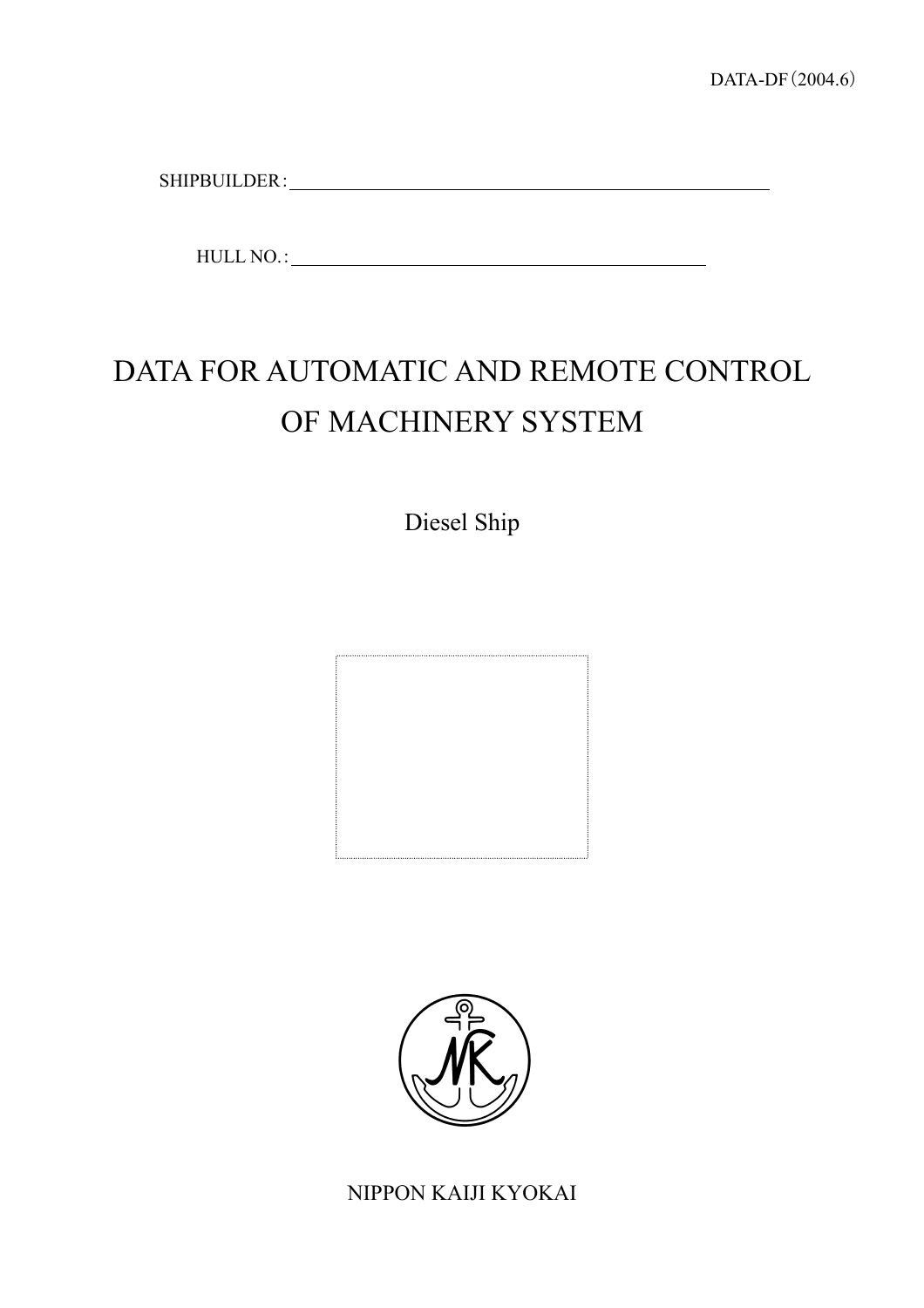SHIPBUILDER: WebStein Stein Stein Stein Stein Stein Stein Stein Stein Stein Stein Stein Stein Stein Stein Stein Stein Stein Stein Stein Stein Stein Stein Stein Stein Stein Stein Stein Stein Stein Stein Stein Stein Stein St

HULL NO.:

# DATA FOR AUTOMATIC AND REMOTE CONTROL OF MACHINERY SYSTEM

Diesel Ship





NIPPON KAIJI KYOKAI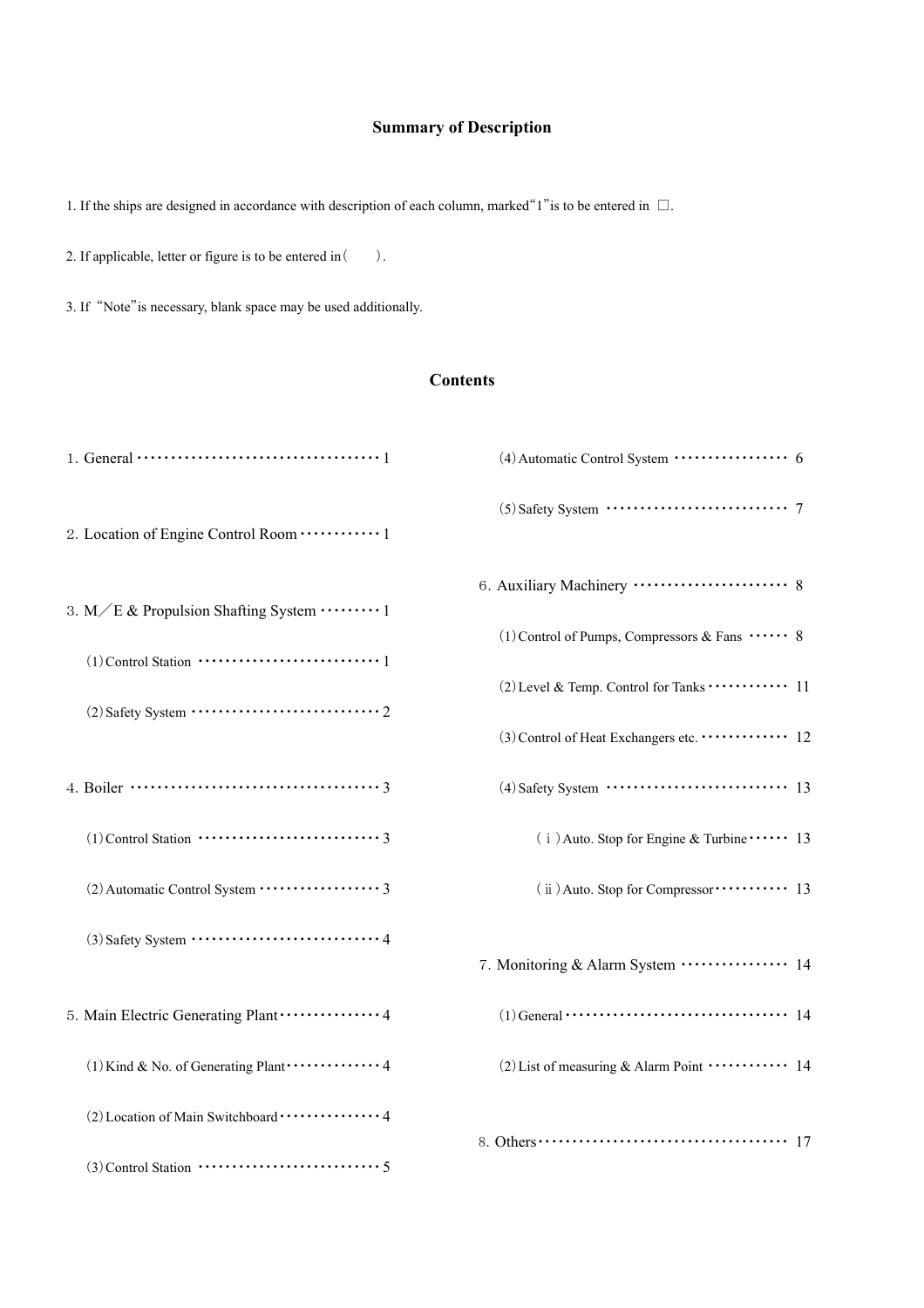# **Summary of Description**

1. If the ships are designed in accordance with description of each column, marked "1" is to be entered in  $\Box$ .

2. If applicable, letter or figure is to be entered in ().

3. If "Note"is necessary, blank space may be used additionally.

#### **Contents**

|                                                                                                                        | (4) Automatic Control System ················ 6                                                     |
|------------------------------------------------------------------------------------------------------------------------|-----------------------------------------------------------------------------------------------------|
|                                                                                                                        | $(5)$ Safety System $\cdots$ $\cdots$ $\cdots$ $\cdots$ $\cdots$ $\cdots$ $\cdots$ 7                |
| 3. M/E & Propulsion Shafting System                                                                                    |                                                                                                     |
|                                                                                                                        | (1) Control of Pumps, Compressors & Fans  8                                                         |
| $(2)$ Safety System $\cdots$ $\cdots$ $\cdots$ $\cdots$ $\cdots$ $\cdots$ $\cdots$ $\cdots$ $\cdots$ $\cdots$          | (2) Level & Temp. Control for Tanks  11                                                             |
|                                                                                                                        | (3) Control of Heat Exchangers etc.  12                                                             |
|                                                                                                                        | $(4)$ Safety System $\cdots$ $\cdots$ $\cdots$ $\cdots$ $\cdots$ $\cdots$ $\cdots$ 13               |
|                                                                                                                        | $(i)$ Auto. Stop for Engine & Turbine $\cdots$ 13                                                   |
|                                                                                                                        | (ii) Auto. Stop for Compressor ·········· 13                                                        |
| $(3)$ Safety System $\cdots$ $\cdots$ $\cdots$ $\cdots$ $\cdots$ $\cdots$ $\cdots$ $\cdots$ $\cdots$ $\cdots$ $\cdots$ |                                                                                                     |
|                                                                                                                        |                                                                                                     |
| 5. Main Electric Generating Plant ··············· 4                                                                    | $(1)$ General $\cdots$ $\cdots$ $\cdots$ $\cdots$ $\cdots$ $\cdots$ $\cdots$ $\cdots$ $\cdots$ $14$ |
|                                                                                                                        | (2) List of measuring & Alarm Point $\cdots$ 14                                                     |
| (2) Location of Main Switchboard  4                                                                                    |                                                                                                     |
|                                                                                                                        |                                                                                                     |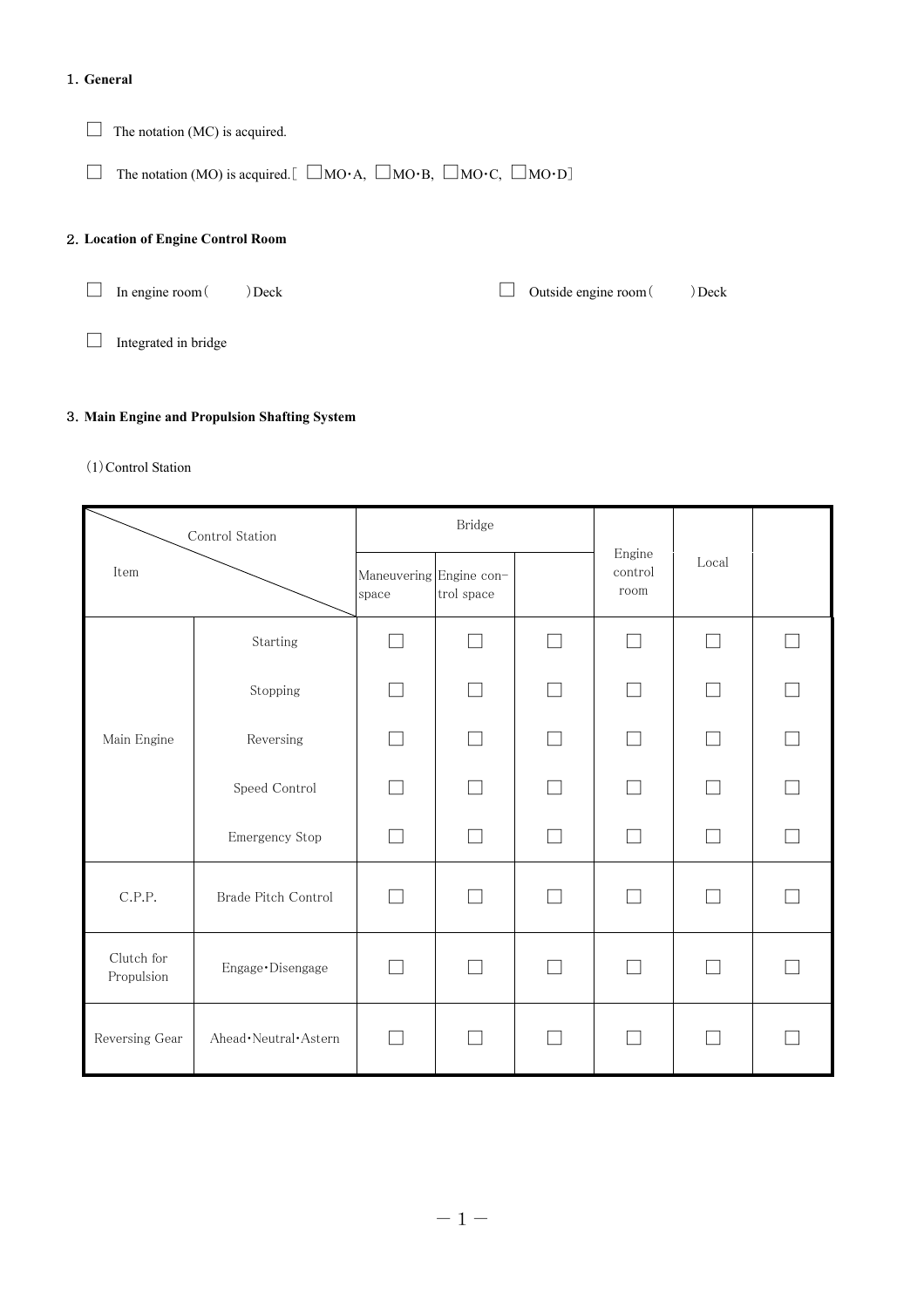#### 1.**General**

 $\Box$  The notation (MC) is acquired.

 $\Box$  The notation (MO) is acquired. [  $\Box$ MO·A,  $\Box$ MO·B,  $\Box$ MO·C,  $\Box$ MO·D]

#### 2.**Location of Engine Control Room**

 $\Box$  In engine room ( ) Deck

□ Outside engine room ( ) Deck

□ Integrated in bridge

#### 3.**Main Engine and Propulsion Shafting System**

#### (1)Control Station

| Control Station<br>Item  |                          |                                  | Bridge     |                          |                             |                          |  |
|--------------------------|--------------------------|----------------------------------|------------|--------------------------|-----------------------------|--------------------------|--|
|                          |                          | Maneuvering Engine con-<br>space | trol space |                          | Engine<br>control<br>room   | Local                    |  |
|                          | Starting                 | $\Box$                           | □          | П                        | $\mathcal{L}$               | $\Box$                   |  |
|                          | Stopping                 |                                  |            | $\Box$                   |                             |                          |  |
| Main Engine              | Reversing                |                                  | $\Box$     | П                        |                             |                          |  |
|                          | Speed Control            |                                  |            |                          |                             |                          |  |
|                          | Emergency Stop           |                                  |            | $\overline{\phantom{a}}$ |                             |                          |  |
| C.P.P.                   | Brade Pitch Control      |                                  |            |                          |                             |                          |  |
| Clutch for<br>Propulsion | Engage · Disengage       | $\Box$                           |            |                          | $\mathcal{L}_{\mathcal{A}}$ | $\overline{\phantom{a}}$ |  |
| Reversing Gear           | Ahead · Neutral · Astern |                                  |            | $\Box$                   | $\sim$                      | $\overline{\phantom{a}}$ |  |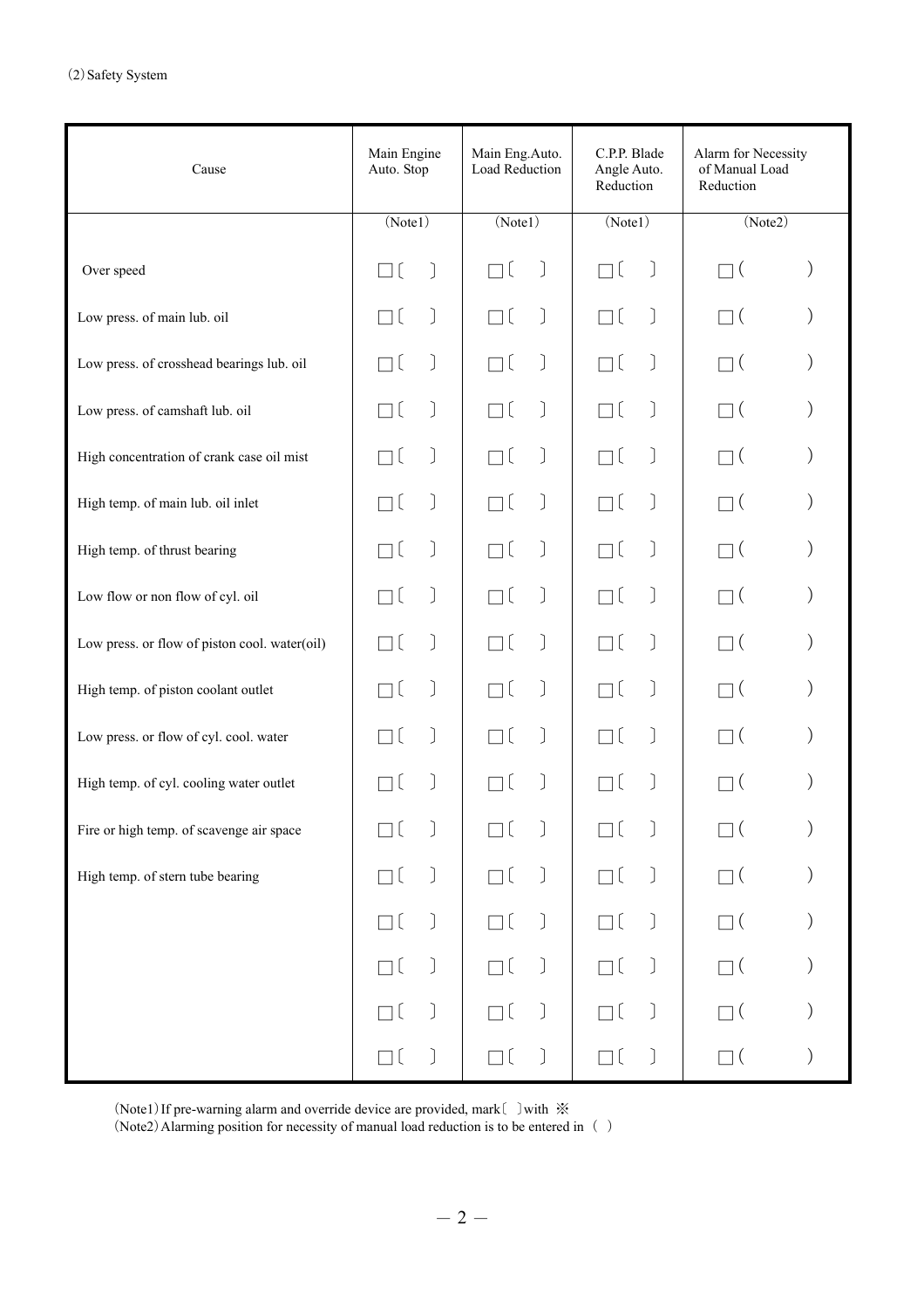| Cause                                         | Main Engine<br>Auto. Stop | Main Eng.Auto.<br>Load Reduction | C.P.P. Blade<br>Angle Auto.<br>Reduction    | Alarm for Necessity<br>of Manual Load<br>Reduction |
|-----------------------------------------------|---------------------------|----------------------------------|---------------------------------------------|----------------------------------------------------|
|                                               | (Note1)                   | (Note1)                          | (Note1)                                     | (Note2)                                            |
| Over speed                                    | $\rfloor$                 | $\left[ \right]$                 | ٦ſ<br>$\begin{array}{c} \hline \end{array}$ | $\overline{ }$                                     |
| Low press. of main lub. oil                   |                           | J<br>$\left[ \right]$            | $\big]$<br>٦l                               | $\overline{a}$                                     |
| Low press. of crosshead bearings lub. oil     |                           |                                  | $\big]$<br>٦[                               | $\overline{ }$                                     |
| Low press. of camshaft lub. oil               |                           | J                                | J.<br>٦l                                    | $\overline{a}$                                     |
| High concentration of crank case oil mist     |                           |                                  | $\big]$<br>٦ſ                               | $\overline{ }$                                     |
| High temp. of main lub. oil inlet             |                           |                                  | J.<br>٦l                                    | $\overline{a}$                                     |
| High temp. of thrust bearing                  |                           |                                  | $\big]$<br>٦ſ                               |                                                    |
| Low flow or non flow of cyl. oil              |                           | $\left[ \right]$                 | ſ<br>٦l                                     | $\overline{a}$                                     |
| Low press. or flow of piston cool. water(oil) |                           |                                  | $\mathcal{L}$<br>٦ſ                         |                                                    |
| High temp. of piston coolant outlet           |                           | $\left[ \right]$                 | ſ<br>٦l                                     | $\left($                                           |
| Low press. or flow of cyl. cool. water        | J                         |                                  | J.<br>٦ſ                                    |                                                    |
| High temp. of cyl. cooling water outlet       |                           |                                  | $\Big]$<br>$\mathbf{I}$                     |                                                    |
| Fire or high temp. of scavenge air space      |                           |                                  |                                             |                                                    |
| High temp. of stern tube bearing              | $\Big)$<br>Пĺ             | Пĺ<br>$\big)$                    | $\Box$ (<br>$\big)$                         | $\Box$ (                                           |
|                                               | $\Big)$<br>٦l             | J<br>Пĺ                          | $\Big)$<br>$\Box$ (                         | $\square$ (                                        |
|                                               | $\Big)$<br>Пl             | J<br>Пĺ                          | $\Big)$<br>Пĺ                               | $\Box$ (                                           |
|                                               |                           | J<br>] [                         | $\Big)$<br>$\Box$ (                         | $\square$ (                                        |
|                                               | $\Box$ (                  | $\Box$ (<br>J                    | $\Box$ [<br>$\Big)$                         | $\Box$ (                                           |

(Note1)If pre-warning alarm and override device are provided, mark〔 〕with ※

(Note2) Alarming position for necessity of manual load reduction is to be entered in  $\hskip.1cm$  ( )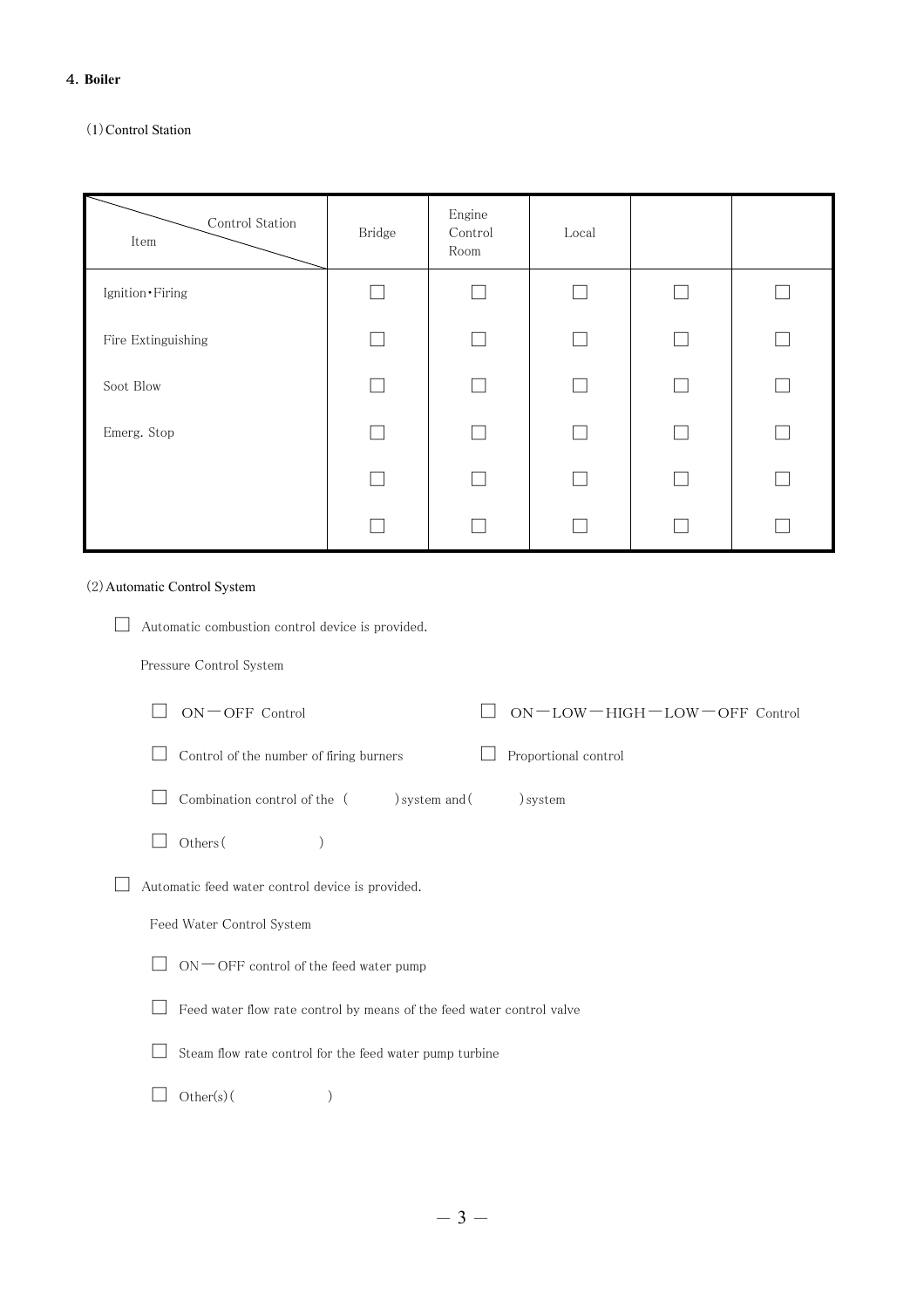#### 4.**Boiler**

# (1)Control Station

| Control Station<br>Item | Bridge | Engine<br>Control<br>Room | Local                    |   |
|-------------------------|--------|---------------------------|--------------------------|---|
| Ignition • Firing       |        |                           | a a                      |   |
| Fire Extinguishing      |        |                           | $\overline{\phantom{a}}$ |   |
| Soot Blow               |        |                           | $\Box$                   | Г |
| Emerg. Stop             |        |                           | l I                      |   |
|                         |        |                           | e i                      |   |
|                         |        |                           |                          |   |

# (2)Automatic Control System

| Automatic combustion control device is provided.                      |
|-----------------------------------------------------------------------|
| Pressure Control System                                               |
| $ON$ $\sup$ OFF Control<br>$ON - LOW - HIGH - LOW - OFF$ Control      |
| Control of the number of firing burners<br>Proportional control       |
| Combination control of the (<br>) system and (<br>) system            |
| Others (                                                              |
| Automatic feed water control device is provided.                      |
| Feed Water Control System                                             |
| $ON$ $\rightarrow$ OFF control of the feed water pump                 |
| Feed water flow rate control by means of the feed water control valve |
| Steam flow rate control for the feed water pump turbine               |
| $Other(s)$ (                                                          |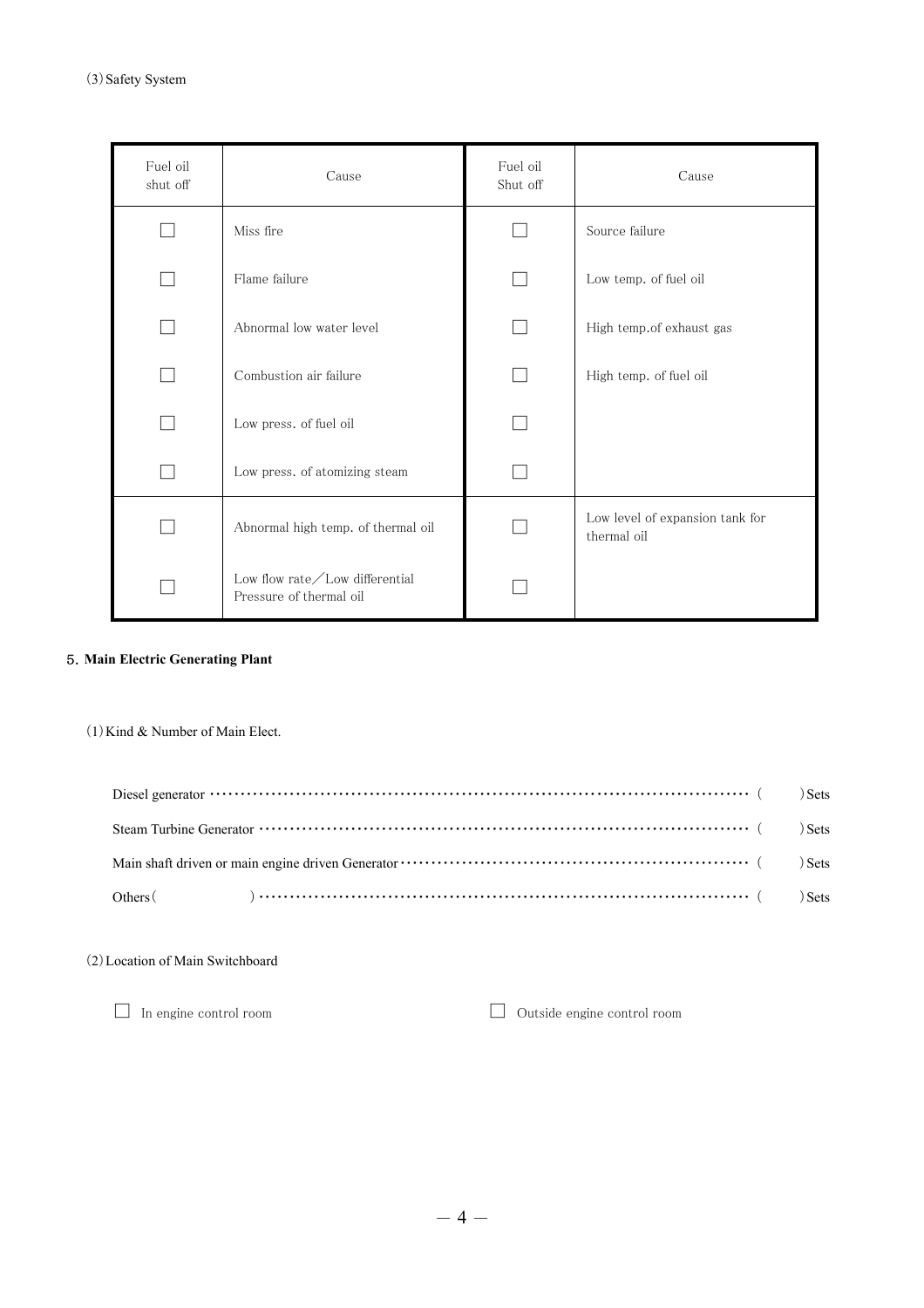| Fuel oil<br>shut off | Cause                                                              |  | Cause                                          |
|----------------------|--------------------------------------------------------------------|--|------------------------------------------------|
|                      | Miss fire                                                          |  | Source failure                                 |
|                      | Flame failure                                                      |  | Low temp. of fuel oil                          |
|                      | Abnormal low water level                                           |  | High temp.of exhaust gas                       |
|                      | Combustion air failure                                             |  | High temp. of fuel oil                         |
|                      | Low press. of fuel oil                                             |  |                                                |
|                      | Low press. of atomizing steam                                      |  |                                                |
|                      | Abnormal high temp. of thermal oil                                 |  | Low level of expansion tank for<br>thermal oil |
|                      | Low flow rate $\angle$ Low differential<br>Pressure of thermal oil |  |                                                |

## 5.**Main Electric Generating Plant**

 $(1)$  Kind & Number of Main Elect.

(2)Location of Main Switchboard

 $\hfill\Box\quad\text{In engine control room}\qquad\qquad\Box\quad\text{Outside engine control room}$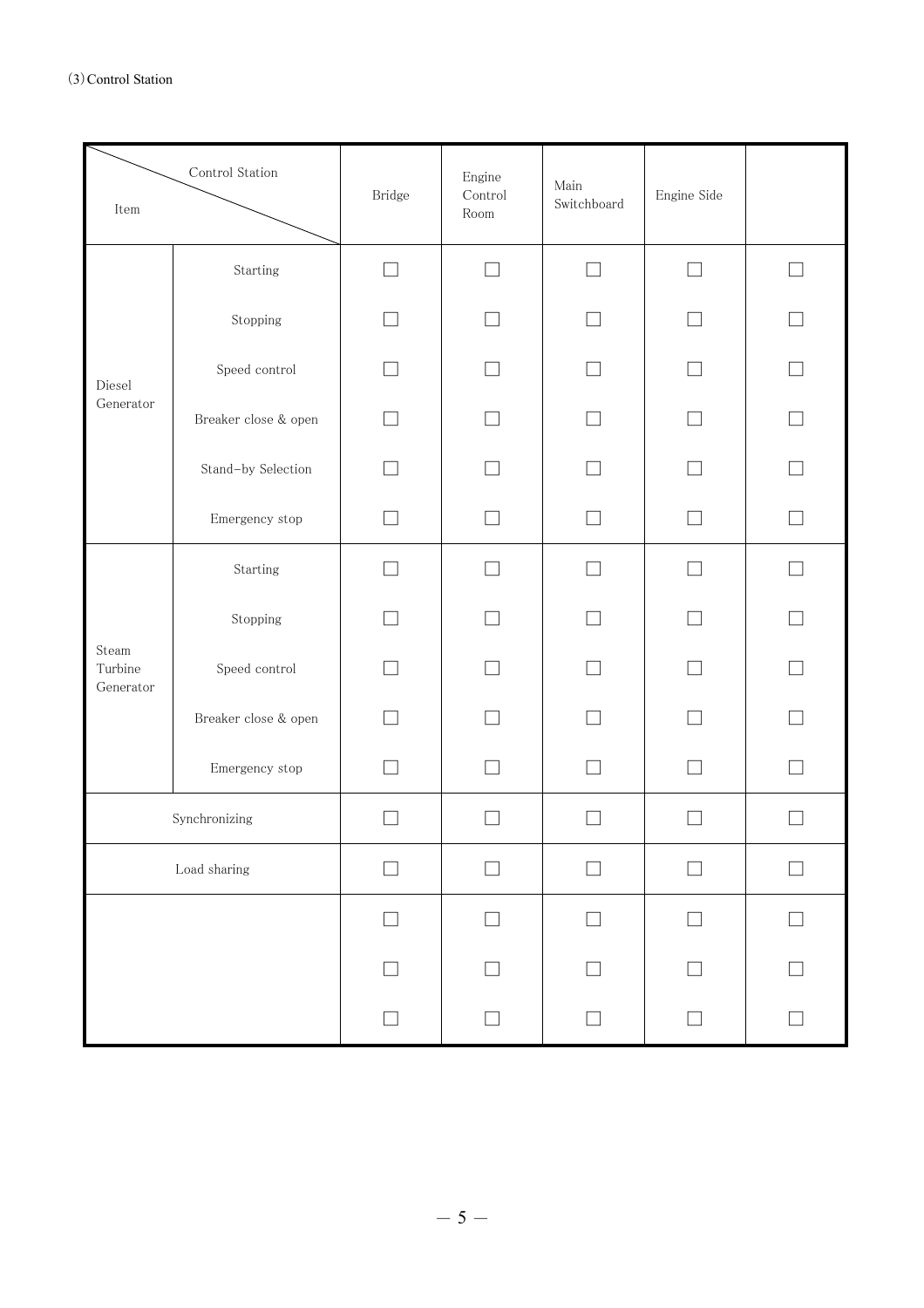| $\mbox{Control Station}$<br>$\mbox{Item}$ |                               | Bridge                   | Engine<br>Control<br>$\operatorname{Room}$ | $\mathop{\rm Main}$<br>Switchboard | Engine Side |                          |
|-------------------------------------------|-------------------------------|--------------------------|--------------------------------------------|------------------------------------|-------------|--------------------------|
|                                           | Starting                      | $\overline{\phantom{a}}$ | - 1                                        | $\Box$                             | П           | $\overline{\phantom{a}}$ |
| Diesel<br>Generator                       | Stopping                      |                          |                                            |                                    |             |                          |
|                                           | ${\sf Speed}$ ${\sf control}$ |                          |                                            |                                    |             |                          |
|                                           | Breaker close & open          |                          |                                            |                                    |             |                          |
|                                           | Stand-by Selection            |                          |                                            |                                    |             |                          |
|                                           | Emergency stop                |                          |                                            |                                    |             |                          |
|                                           | Starting                      |                          |                                            | - 1                                |             |                          |
|                                           | Stopping                      |                          |                                            |                                    |             |                          |
| Steam<br>Turbine<br>Generator             | ${\sf Speed}$ ${\sf control}$ |                          |                                            |                                    |             |                          |
|                                           | Breaker close & open          |                          |                                            |                                    |             |                          |
|                                           | Emergency stop                |                          |                                            |                                    |             |                          |
| Synchronizing                             |                               |                          |                                            |                                    |             |                          |
| Load sharing                              |                               | $\Box$                   | П                                          | $\Box$                             | П           |                          |
|                                           |                               |                          |                                            |                                    |             |                          |
|                                           |                               |                          |                                            |                                    |             |                          |
|                                           |                               | $\Box$                   | $\mathcal{L}$                              | $\Box$                             | П           |                          |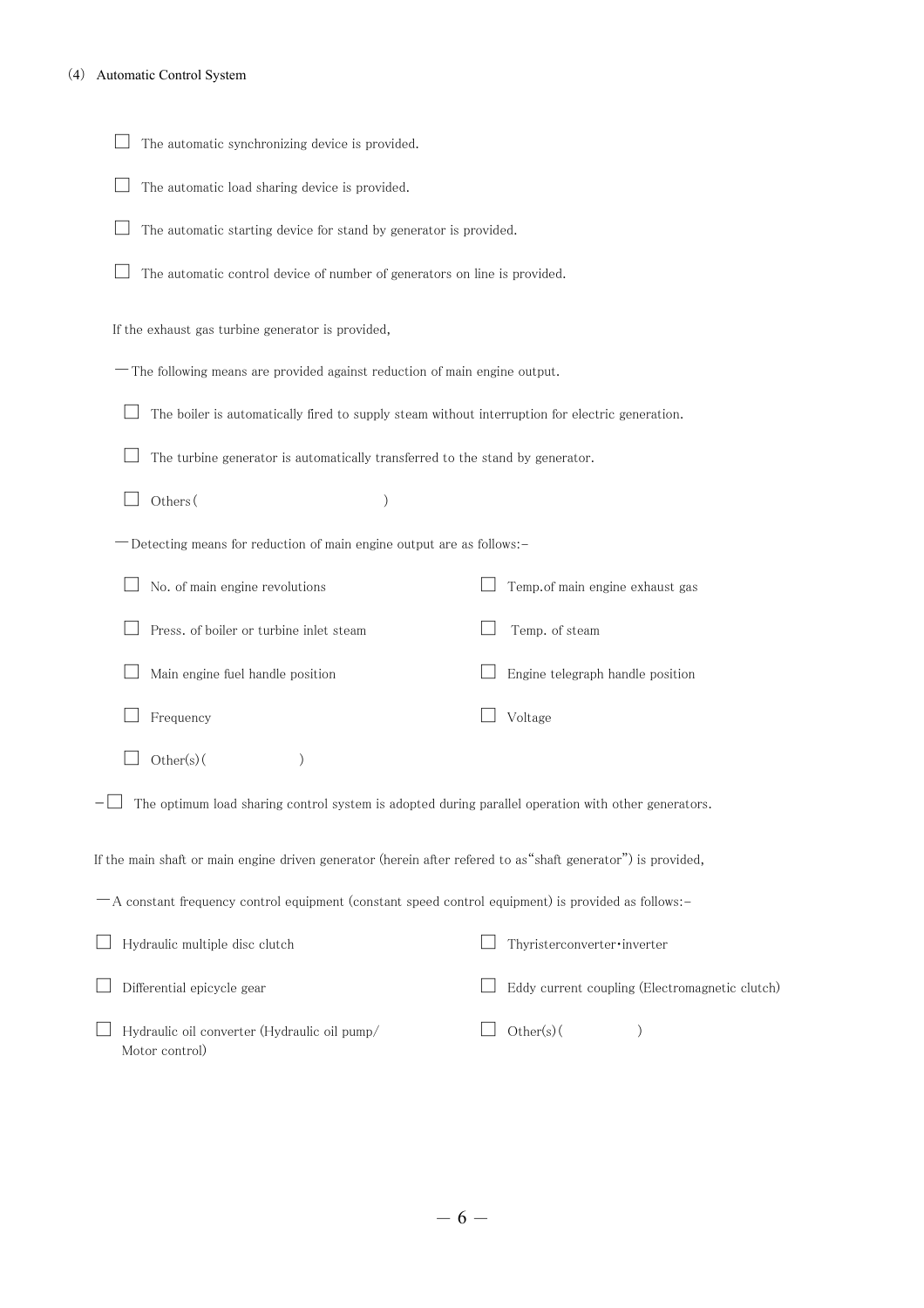| The automatic synchronizing device is provided.                                                              |                                                |
|--------------------------------------------------------------------------------------------------------------|------------------------------------------------|
| The automatic load sharing device is provided.                                                               |                                                |
| The automatic starting device for stand by generator is provided.                                            |                                                |
| The automatic control device of number of generators on line is provided.                                    |                                                |
| If the exhaust gas turbine generator is provided,                                                            |                                                |
| -The following means are provided against reduction of main engine output.                                   |                                                |
| The boiler is automatically fired to supply steam without interruption for electric generation.              |                                                |
| The turbine generator is automatically transferred to the stand by generator.                                |                                                |
| Others (<br>)                                                                                                |                                                |
| -Detecting means for reduction of main engine output are as follows:-                                        |                                                |
| No. of main engine revolutions                                                                               | Temp.of main engine exhaust gas                |
| Press. of boiler or turbine inlet steam                                                                      | Temp. of steam                                 |
| Main engine fuel handle position                                                                             | Engine telegraph handle position               |
| Frequency                                                                                                    | Voltage                                        |
| Other(s)(<br>$\mathcal{C}$                                                                                   |                                                |
| The optimum load sharing control system is adopted during parallel operation with other generators.          |                                                |
| If the main shaft or main engine driven generator (herein after refered to as"shaft generator") is provided, |                                                |
| -A constant frequency control equipment (constant speed control equipment) is provided as follows:-          |                                                |
| Hydraulic multiple disc clutch                                                                               | Thyristerconverter·inverter                    |
| Differential epicycle gear                                                                                   | Eddy current coupling (Electromagnetic clutch) |
| Hydraulic oil converter (Hydraulic oil pump/<br>Motor control)                                               | $Other(s)$ (<br>$\mathcal{E}$                  |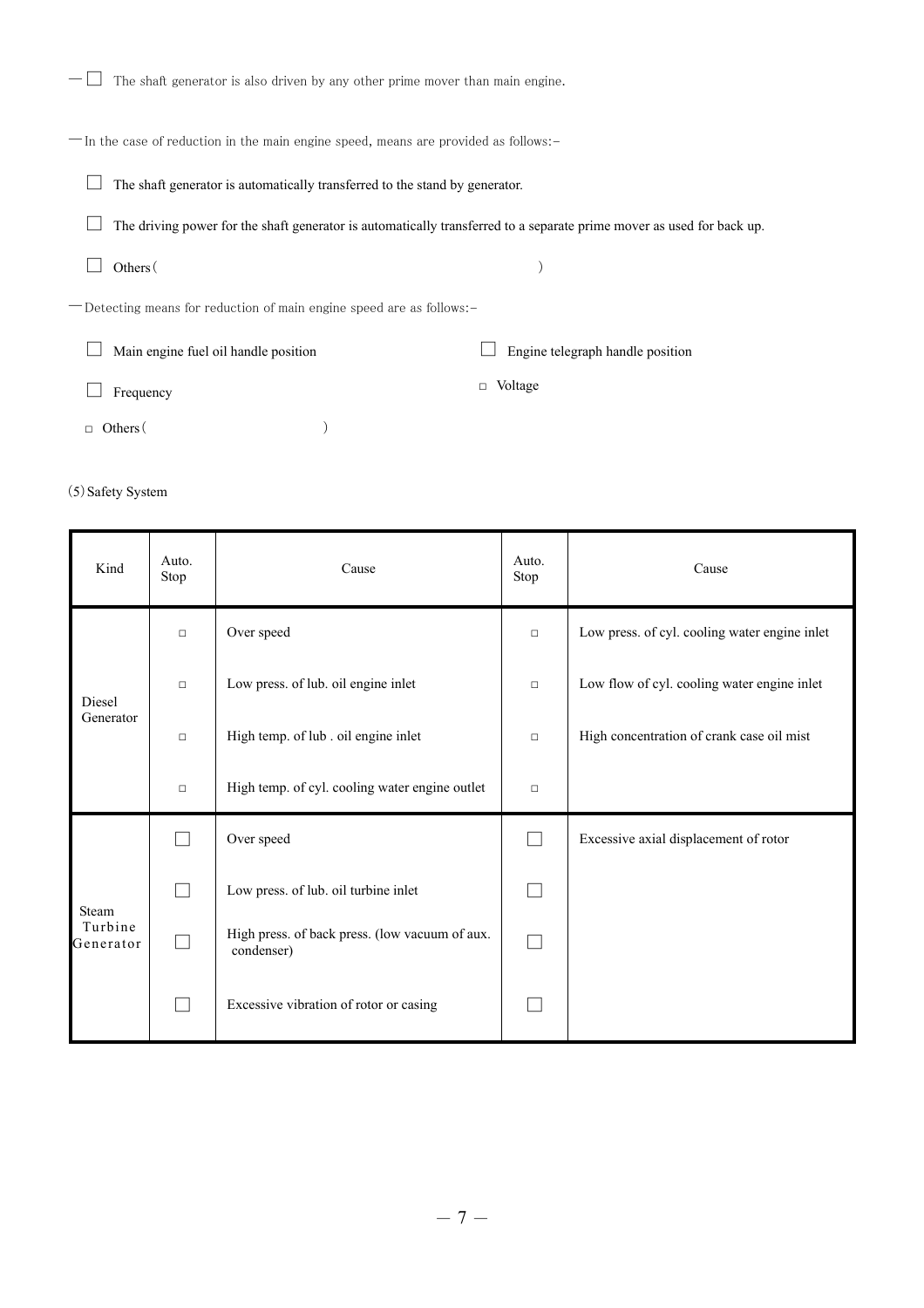| The shaft generator is also driven by any other prime mover than main engine.       |                                                                                                                       |  |  |  |  |  |  |
|-------------------------------------------------------------------------------------|-----------------------------------------------------------------------------------------------------------------------|--|--|--|--|--|--|
| -In the case of reduction in the main engine speed, means are provided as follows:- |                                                                                                                       |  |  |  |  |  |  |
| The shaft generator is automatically transferred to the stand by generator.         |                                                                                                                       |  |  |  |  |  |  |
|                                                                                     | The driving power for the shaft generator is automatically transferred to a separate prime mover as used for back up. |  |  |  |  |  |  |
| Others (                                                                            |                                                                                                                       |  |  |  |  |  |  |
| -Detecting means for reduction of main engine speed are as follows:-                |                                                                                                                       |  |  |  |  |  |  |
| Main engine fuel oil handle position                                                | Engine telegraph handle position                                                                                      |  |  |  |  |  |  |
| Frequency                                                                           | Voltage<br>$\Box$                                                                                                     |  |  |  |  |  |  |
| Others (                                                                            |                                                                                                                       |  |  |  |  |  |  |

# (5) Safety System

n

| Kind                 | Auto.<br>Stop | Cause                                                        |                             | Cause                                         |
|----------------------|---------------|--------------------------------------------------------------|-----------------------------|-----------------------------------------------|
|                      | $\Box$        | Over speed                                                   | $\Box$                      | Low press. of cyl. cooling water engine inlet |
| Diesel<br>Generator  | $\Box$        | Low press. of lub. oil engine inlet                          | $\Box$                      | Low flow of cyl. cooling water engine inlet   |
|                      | $\Box$        | High temp. of lub. oil engine inlet                          | $\Box$                      | High concentration of crank case oil mist     |
|                      | $\Box$        | High temp. of cyl. cooling water engine outlet               | $\Box$                      |                                               |
|                      |               | Over speed                                                   | $\Box$                      | Excessive axial displacement of rotor         |
| Steam                | П             | Low press. of lub. oil turbine inlet                         |                             |                                               |
| Turbine<br>Generator | П             | High press. of back press. (low vacuum of aux.<br>condenser) | $\mathcal{L}_{\mathcal{A}}$ |                                               |
|                      | ┌             | Excessive vibration of rotor or casing                       |                             |                                               |

÷

ŕ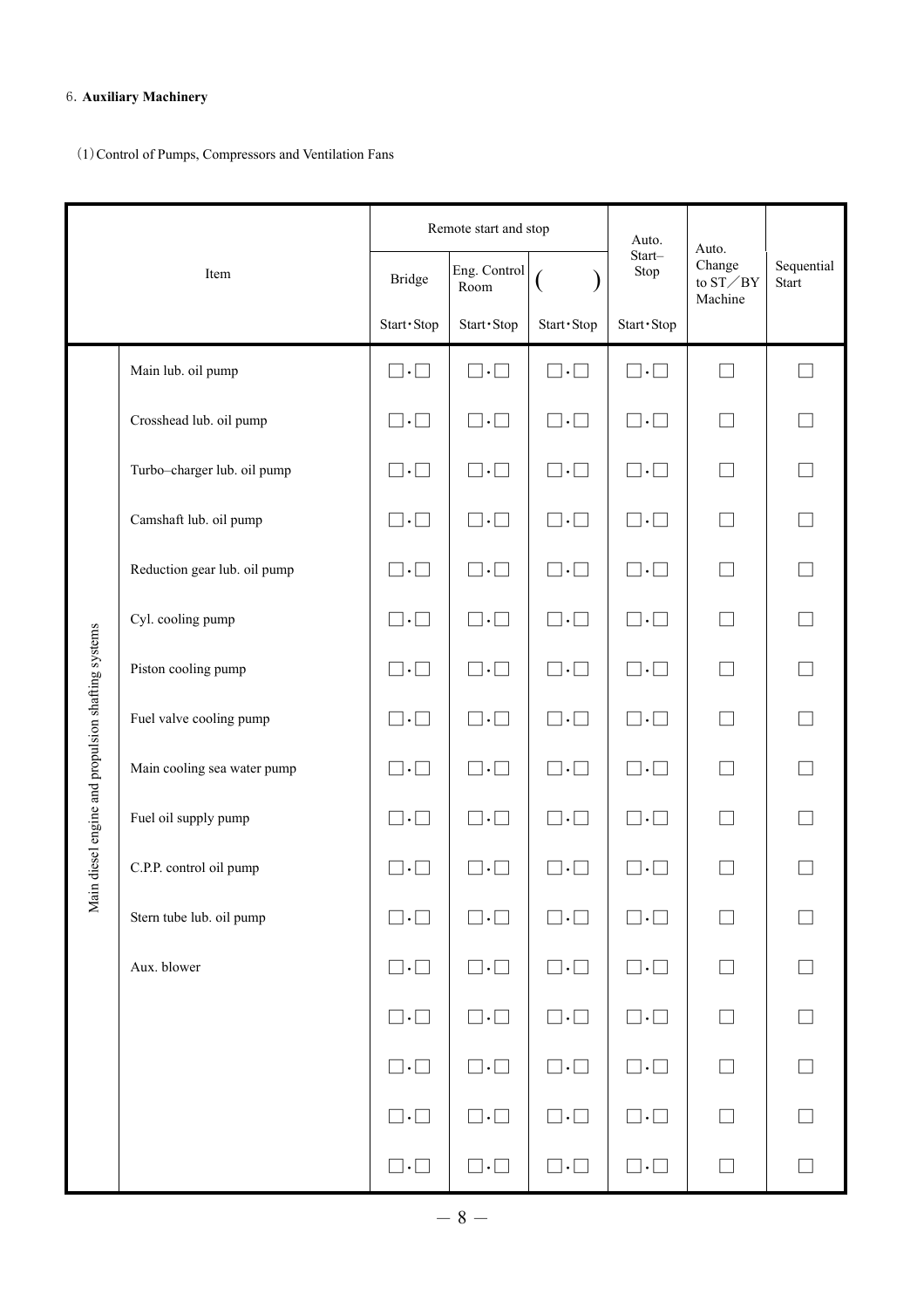# 6.**Auxiliary Machinery**

(1)Control of Pumps, Compressors and Ventilation Fans

|                                                  |                              |                         | Remote start and stop   |                         | Auto.                   | Auto.                                   |                            |
|--------------------------------------------------|------------------------------|-------------------------|-------------------------|-------------------------|-------------------------|-----------------------------------------|----------------------------|
|                                                  | Item                         | <b>Bridge</b>           | Eng. Control<br>Room    |                         | Start-<br>Stop          | Change<br>to $ST \diagup BY$<br>Machine | Sequential<br><b>Start</b> |
|                                                  |                              | Start · Stop            | Start · Stop            | Start · Stop            | Start · Stop            |                                         |                            |
|                                                  | Main lub. oil pump           | $\square \cdot \square$ | $\square \cdot \square$ | $\square\cdot\square$   | $\square \cdot \square$ | J.                                      |                            |
|                                                  | Crosshead lub. oil pump      | $\square \cdot \square$ | $\Box \cdot \Box$       | $\Box\cdot\Box$         | $\square \cdot \square$ |                                         |                            |
|                                                  | Turbo-charger lub. oil pump  | $\square \cdot \square$ | $\square \cdot \square$ | $\square \cdot \square$ | $\square \cdot \square$ |                                         |                            |
|                                                  | Camshaft lub. oil pump       | $\Box \cdot \Box$       | $\square \cdot \square$ | $\Box\cdot\Box$         | $\square \cdot \square$ |                                         |                            |
|                                                  | Reduction gear lub. oil pump | $\sqcap.\sqcap$         | $\Box \cdot \Box$       | $\sqcap.\sqcap$         | $\Box\cdot\Box$         |                                         |                            |
|                                                  | Cyl. cooling pump            | $\square \cdot \square$ | $\square \cdot \square$ | $\square \cdot \square$ | $\square \cdot \square$ |                                         |                            |
|                                                  | Piston cooling pump          | $\square \cdot \square$ | $\square \cdot \square$ | $\square \cdot \square$ | $\square \cdot \square$ |                                         |                            |
|                                                  | Fuel valve cooling pump      | $\sqcap.\sqcap$         | $\cdot$ $\Box$          | $\vert \cdot \vert$     | $\sqcap . \sqcap$       |                                         |                            |
|                                                  | Main cooling sea water pump  | $\square \cdot \square$ | $\square \cdot \square$ | $\square \cdot \square$ | $\square \cdot \square$ |                                         |                            |
| in diesel engine and propulsion shafting systems | Fuel oil supply pump         | $\Box \cdot \Box$       | $\square \cdot \square$ | $\Box\cdot\Box$         | $\square \cdot \square$ |                                         |                            |
|                                                  | C.P.P. control oil pump      | $\cdot$                 |                         |                         |                         |                                         |                            |
| $\sum_{i=1}^{n}$                                 | Stern tube lub. oil pump     | $\square \cdot \square$ | $\Box\cdot\Box$         | $\square \cdot \square$ | $\square \cdot \square$ |                                         |                            |
|                                                  | Aux. blower                  | $\square \cdot \square$ | $\Box \cdot \Box$       | $\square \cdot \square$ | $\square \cdot \square$ | $\Box$                                  | $\Box$                     |
|                                                  |                              | $\square \cdot \square$ | $\square \cdot \square$ | $\square \cdot \square$ | $\square \cdot \square$ |                                         |                            |
|                                                  |                              | $\square \cdot \square$ | $\square \cdot \square$ | $\square \cdot \square$ | $\square \cdot \square$ | $\Box$                                  | $\Box$                     |
|                                                  |                              | $\square \cdot \square$ | $\square \cdot \square$ | $\square \cdot \square$ | $\square \cdot \square$ | $\Box$                                  | $\Box$                     |
|                                                  |                              | $\square \cdot \square$ | $\square \cdot \square$ | $\Box \cdot \Box$       | $\square \cdot \square$ |                                         |                            |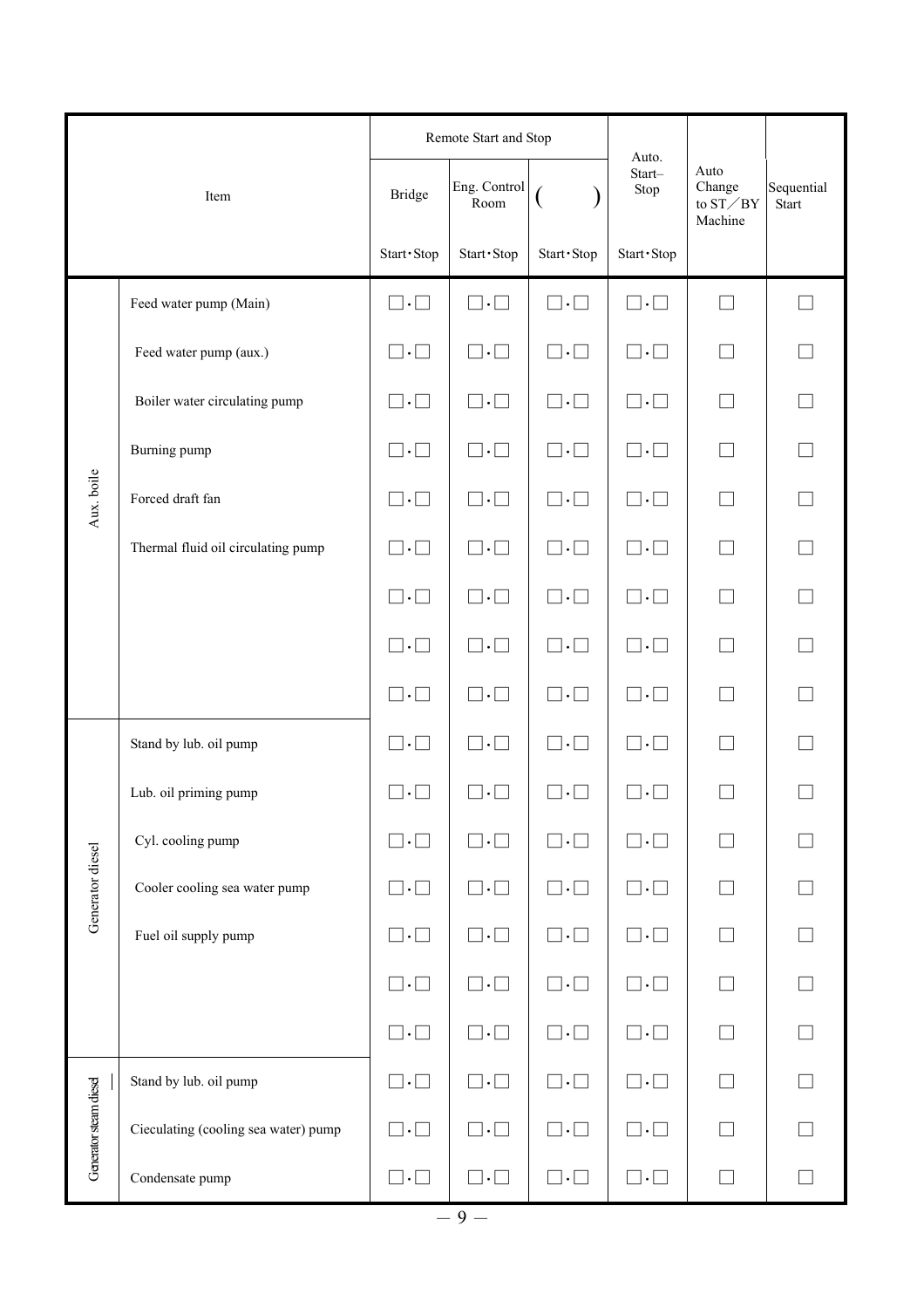|                        |                                      |                         | Remote Start and Stop   |                         | Auto.                   |                                                                 |                            |  |
|------------------------|--------------------------------------|-------------------------|-------------------------|-------------------------|-------------------------|-----------------------------------------------------------------|----------------------------|--|
|                        | Item                                 | <b>Bridge</b>           | Eng. Control<br>Room    | Ų                       | Start-<br>Stop          | Auto<br>Change<br>to $\mathrm{ST}\diagup\mathrm{BY}$<br>Machine | Sequential<br><b>Start</b> |  |
|                        |                                      | Start · Stop            | Start · Stop            | Start · Stop            | Start · Stop            |                                                                 |                            |  |
|                        | Feed water pump (Main)               | $\square \cdot \square$ | $\square \cdot \square$ | $\square \cdot \square$ | $\square \cdot \square$ | $\overline{\phantom{0}}$                                        |                            |  |
|                        | Feed water pump (aux.)               | $\square \cdot \square$ | $\square \cdot \square$ | $\square \cdot \square$ | $\square \cdot \square$ | $\Box$                                                          |                            |  |
|                        | Boiler water circulating pump        | $\Box\cdot\Box$         | $\square \cdot \square$ | $\square \cdot \square$ | $\square \cdot \square$ | $\Box$                                                          |                            |  |
|                        | Burning pump                         | $\square \cdot \square$ | $\square \cdot \square$ | $\square \cdot \square$ | $\square \cdot \square$ | $\Box$                                                          |                            |  |
| Aux. boile             | Forced draft fan                     | $\square \cdot \square$ | $\square \cdot \square$ | $\square \cdot \square$ | $\square \cdot \square$ | П                                                               |                            |  |
|                        | Thermal fluid oil circulating pump   | $\square \cdot \square$ | $\square \cdot \square$ | $\square \cdot \square$ | $\square \cdot \square$ | $\Box$                                                          | $\Box$                     |  |
|                        |                                      | $\square \cdot \square$ | $\square \cdot \square$ | $\square \cdot \square$ | $\square \cdot \square$ | $\Box$                                                          |                            |  |
|                        |                                      | $\square \cdot \square$ | $\square \cdot \square$ | $\square \cdot \square$ | $\square \cdot \square$ | $\Box$                                                          |                            |  |
|                        |                                      | $\square \cdot \square$ | $\square \cdot \square$ | $\square \cdot \square$ | $\square \cdot \square$ | П                                                               |                            |  |
|                        | Stand by lub. oil pump               | $\square \cdot \square$ | $\square \cdot \square$ | $\square \cdot \square$ | $\square \cdot \square$ |                                                                 |                            |  |
|                        | Lub. oil priming pump                | $\square \cdot \square$ | $\square \cdot \square$ | $\square \cdot \square$ | $\square \cdot \square$ |                                                                 |                            |  |
|                        | Cyl. cooling pump                    | $\square \cdot \square$ | $\Box\cdot\Box$         | $\square \cdot \square$ | $\square \cdot \square$ |                                                                 |                            |  |
| Generator diesel       | Cooler cooling sea water pump        | $\square \cdot \square$ | $\square \cdot \square$ | $\square \cdot \square$ | $\square \cdot \square$ |                                                                 |                            |  |
|                        | Fuel oil supply pump                 | $\square \cdot \square$ | $\Box\cdot\Box$         | $\Box\cdot\Box$         | $\square \cdot \square$ |                                                                 |                            |  |
|                        |                                      | $\square \cdot \square$ | $\square \cdot \square$ | $\square \cdot \square$ | $\square \cdot \square$ |                                                                 |                            |  |
|                        |                                      | $\square \cdot \square$ | $\square \cdot \square$ | $\square \cdot \square$ | $\square \cdot \square$ | П                                                               |                            |  |
|                        | Stand by lub. oil pump               | $\square \cdot \square$ | $\Box \cdot \Box$       | $\square \cdot \square$ | $\square \cdot \square$ | $\Box$                                                          |                            |  |
| Generator steam diesel | Cieculating (cooling sea water) pump | $\square \cdot \square$ | $\square \cdot \square$ | $\square \cdot \square$ | $\square \cdot \square$ |                                                                 |                            |  |
|                        | Condensate pump                      | $\square \cdot \square$ | $\square \cdot \square$ | $\square \cdot \square$ | $\square \cdot \square$ | $\Box$                                                          |                            |  |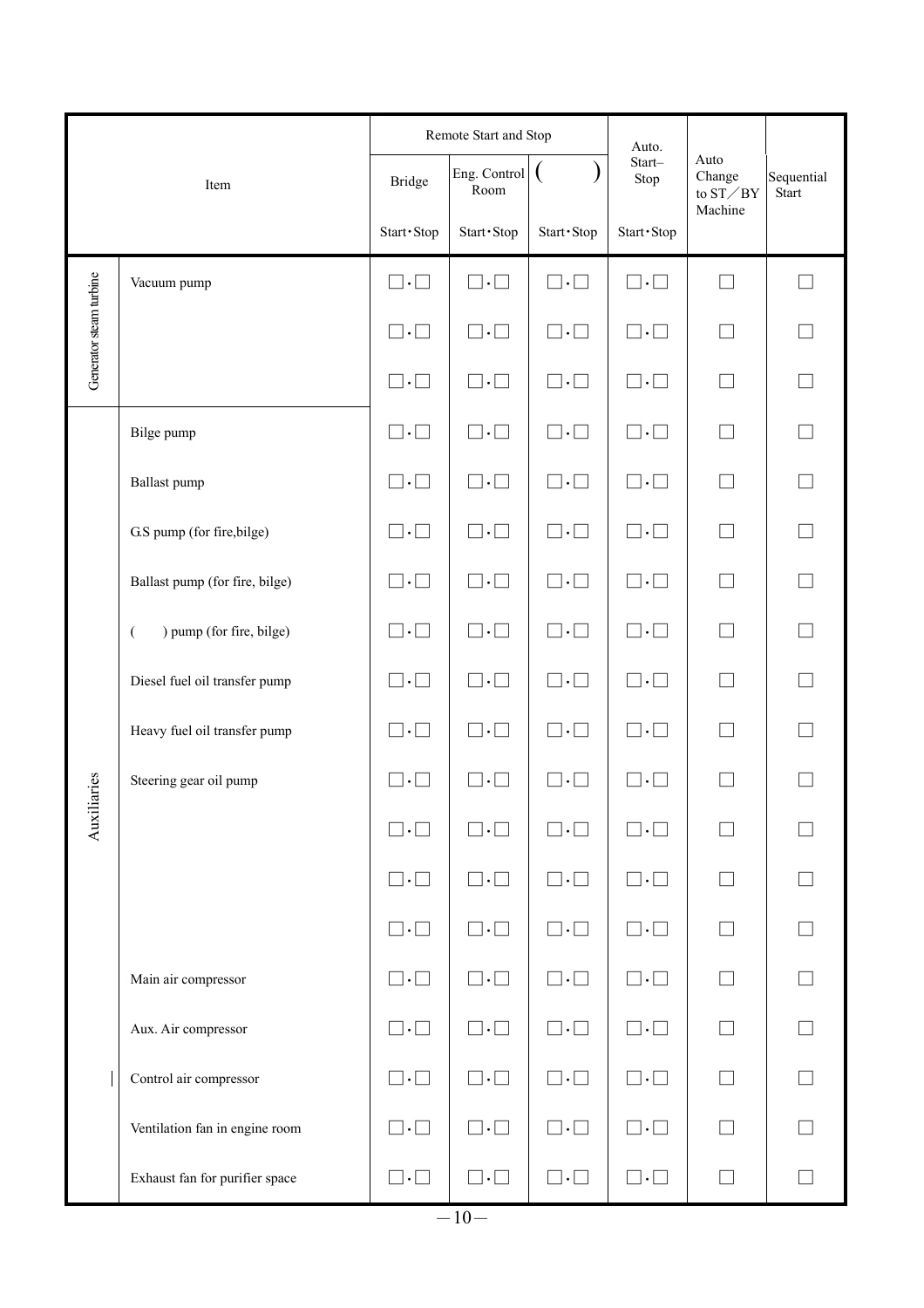|                         |                                            |                         | Remote Start and Stop         |                         | Auto.                       |                                      |                            |  |
|-------------------------|--------------------------------------------|-------------------------|-------------------------------|-------------------------|-----------------------------|--------------------------------------|----------------------------|--|
|                         | Item                                       | <b>Bridge</b>           | Eng. Control<br>Room          |                         | Start-<br>Stop              | Auto<br>Change<br>to $ST \diagup BY$ | Sequential<br><b>Start</b> |  |
|                         |                                            | Start · Stop            | Start · Stop                  | Start · Stop            | Start · Stop                | Machine                              |                            |  |
|                         | Vacuum pump                                | $\square \cdot \square$ | $\square \cdot \square$       | $\square \cdot \square$ | $\square \cdot \square$     | ┓                                    |                            |  |
| Generator steam turbine |                                            | $\sqcap.\sqcap$         | $\Box \cdot \Box$             | $\sqcap.\sqcap$         | $\sqcap.\sqcap$             |                                      |                            |  |
|                         |                                            | $\square \cdot \square$ | $\square \cdot \square$       | $\square \cdot \square$ | $\square \cdot \square$     | $\blacksquare$                       |                            |  |
|                         | Bilge pump                                 | $\square \cdot \square$ | $\square\cdot\square$         | $\sqcap.\sqcap$         | $\square\cdot\square$       |                                      |                            |  |
|                         | Ballast pump                               | $\square \cdot \square$ | $\square \cdot \square$       | $\sqcap.\sqcap$         | $\square \cdot \square$     |                                      |                            |  |
|                         | G.S pump (for fire, bilge)                 | $\square \cdot \square$ | $\square \cdot \square$       | $\square \cdot \square$ | $\square \cdot \square$     | П                                    |                            |  |
|                         | Ballast pump (for fire, bilge)             | $\square \cdot \square$ | $\Box\cdot\Box$               | $\Box \cdot \Box$       | $\vert \cdot \vert$ $\vert$ |                                      |                            |  |
|                         | ) pump (for fire, bilge)<br>$\overline{(}$ | $\square \cdot \square$ | $\square \cdot \square$       | $\Box \cdot \Box$       | $\square \cdot \square$     |                                      |                            |  |
|                         | Diesel fuel oil transfer pump              | $\square \cdot \square$ | $\square \cdot \square$       | $\square \cdot \square$ | $\square \cdot \square$     |                                      |                            |  |
|                         | Heavy fuel oil transfer pump               | $\square \cdot \square$ | $\Box \cdot \Box$             | $\Box \cdot \Box$       | $\sqsupset \cdot \sqsupset$ |                                      |                            |  |
| iaries                  | Steering gear oil pump                     | $\vert \cdot \vert$     | $\vert \cdot \vert$<br>$\sim$ |                         | $\blacksquare$<br>$\cdot$   |                                      |                            |  |
| Auxili                  |                                            | $\square \cdot \square$ | $\square \cdot \square$       | $\Box \cdot \Box$       | $\square \cdot \square$     |                                      |                            |  |
|                         |                                            | $\square \cdot \square$ | $\square \cdot \square$       | $\square \cdot \square$ | $\square \cdot \square$     | $\Box$                               | $\Box$                     |  |
|                         |                                            | $\square \cdot \square$ | $\Box\cdot\Box$               | $\square \cdot \square$ | $\square \cdot \square$     | $\Box$                               |                            |  |
|                         | Main air compressor                        | $\square \cdot \square$ | $\square \cdot \square$       | $\square \cdot \square$ | $\square \cdot \square$     | П                                    | $\Box$                     |  |
|                         | Aux. Air compressor                        | $\square \cdot \square$ | $\square \cdot \square$       | $\square \cdot \square$ | $\square \cdot \square$     | $\Box$                               | $\Box$                     |  |
|                         | Control air compressor                     | $\square \cdot \square$ | $\square \cdot \square$       | $\square \cdot \square$ | $\square \cdot \square$     |                                      |                            |  |
|                         | Ventilation fan in engine room             | $\square \cdot \square$ | $\square \cdot \square$       | $\square \cdot \square$ | $\square \cdot \square$     | П                                    |                            |  |
|                         | Exhaust fan for purifier space             | $\square \cdot \square$ | $\Box\cdot\Box$               | $\square \cdot \square$ | $\square \cdot \square$     | $\Box$                               | $\Box$                     |  |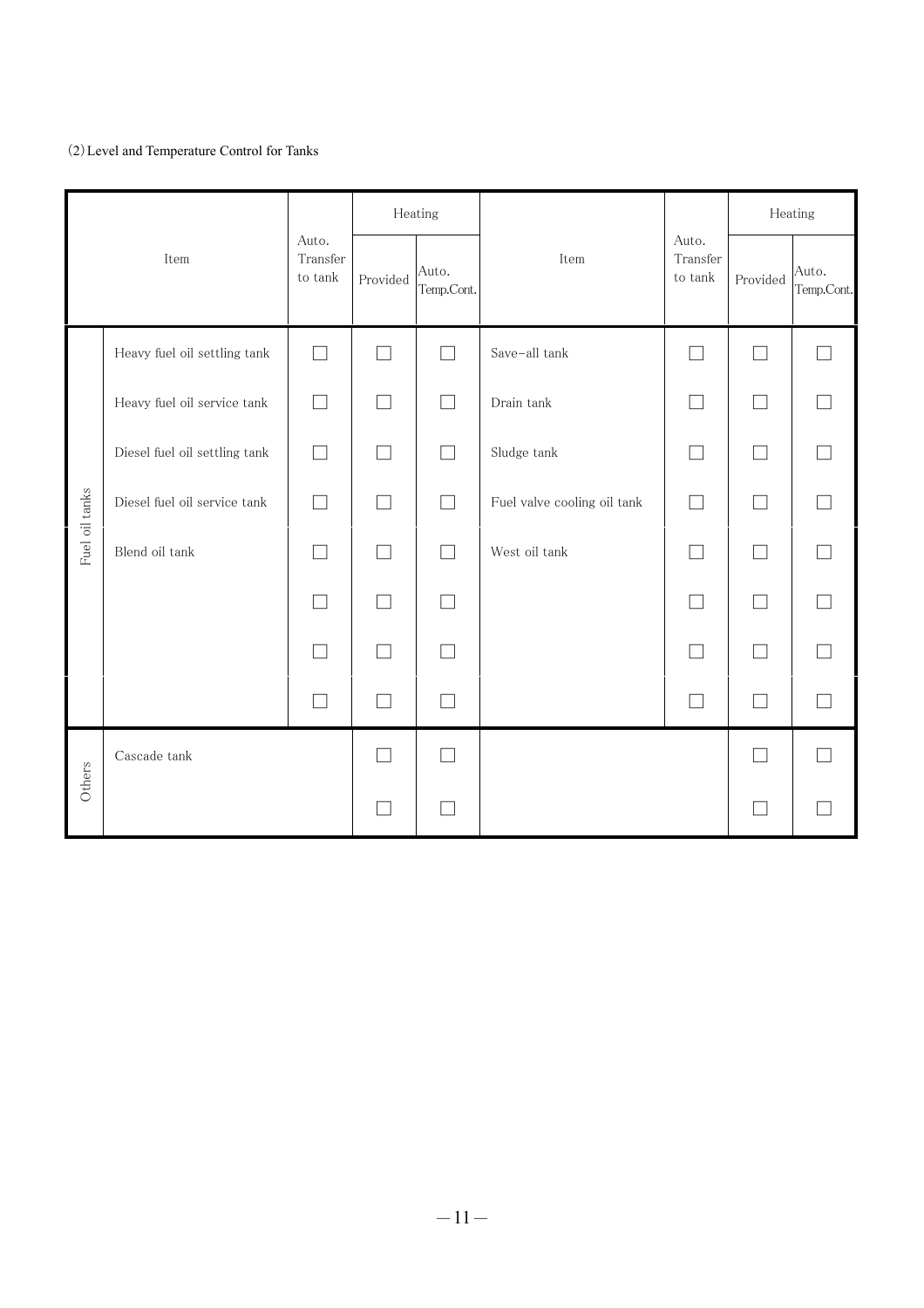# (2)Level and Temperature Control for Tanks

|                |                               |                                 |              | Heating             |                             |                                 |          | Heating             |  |
|----------------|-------------------------------|---------------------------------|--------------|---------------------|-----------------------------|---------------------------------|----------|---------------------|--|
| Item           |                               | Auto.<br>Transfer<br>to $\tanh$ | Provided     | Auto.<br>Temp.Cont. | Item                        | Auto.<br>Transfer<br>to $\tanh$ | Provided | Auto.<br>Temp.Cont. |  |
|                | Heavy fuel oil settling tank  |                                 |              |                     | Save-all tank               |                                 |          |                     |  |
|                | Heavy fuel oil service tank   | $\overline{\phantom{a}}$        |              | $\vert \ \ \vert$   | Drain tank                  | ×.                              | $\Box$   |                     |  |
|                | Diesel fuel oil settling tank | $\overline{\phantom{a}}$        |              | $\Box$              | Sludge tank                 | ┓                               | $\Box$   |                     |  |
| Fuel oil tanks | Diesel fuel oil service tank  |                                 |              |                     | Fuel valve cooling oil tank |                                 |          |                     |  |
|                | Blend oil tank                | $\Box$                          | $\Box$       | $\Box$              | West oil tank               | П                               | П        |                     |  |
|                |                               |                                 |              |                     |                             | T.                              | $\Box$   |                     |  |
|                |                               |                                 |              |                     |                             |                                 | П        |                     |  |
|                |                               |                                 | $\mathbf{I}$ |                     |                             |                                 | П        |                     |  |
|                | $\operatorname{Cascade}$ tank |                                 |              |                     |                             |                                 | E.       |                     |  |
| Others         |                               |                                 |              |                     |                             |                                 | $\Box$   |                     |  |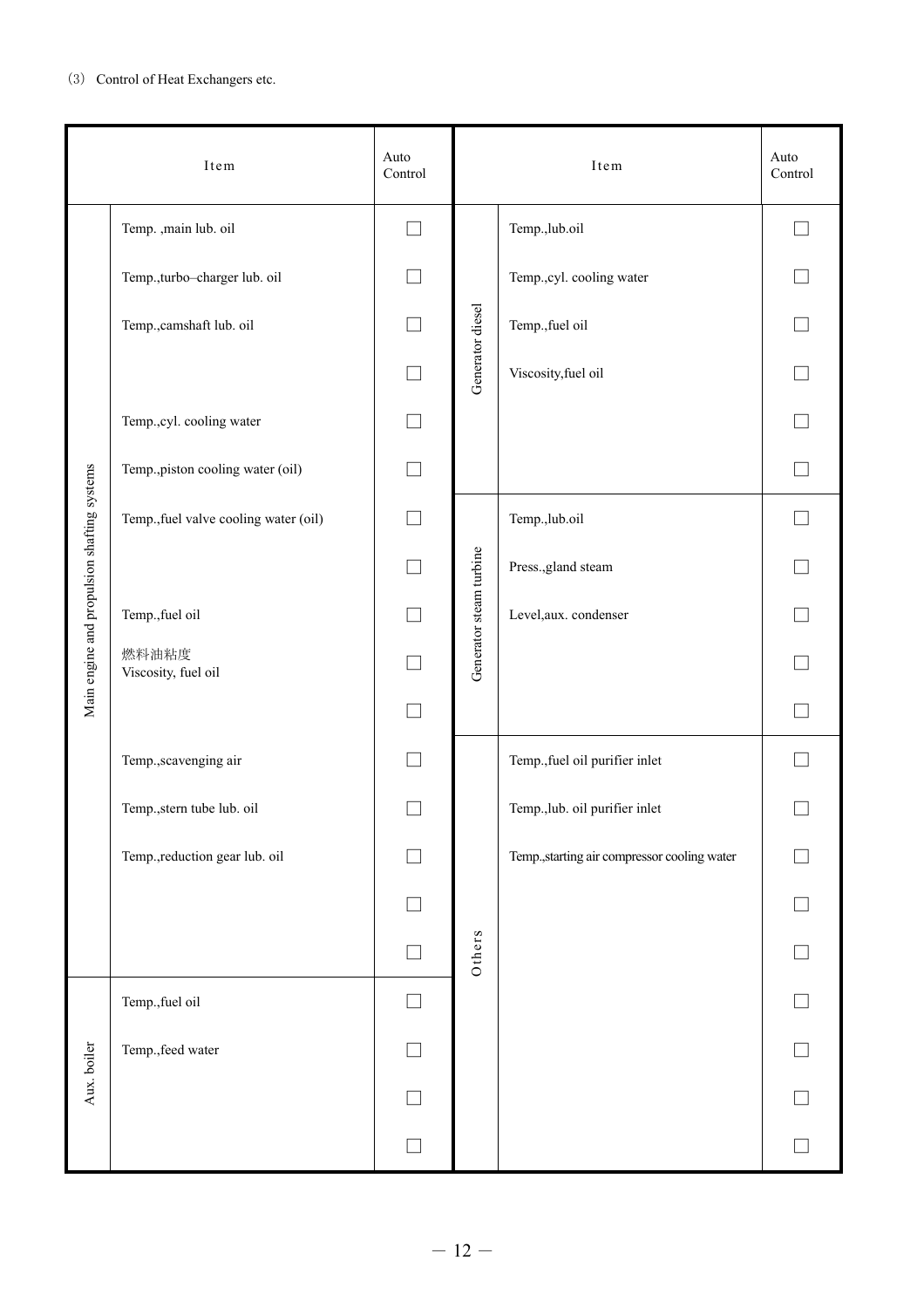## (3) Control of Heat Exchangers etc.

|                                             | Item                                  | Auto<br>Control |                         | Item                                         | Auto<br>Control |
|---------------------------------------------|---------------------------------------|-----------------|-------------------------|----------------------------------------------|-----------------|
|                                             | Temp. ,main lub. oil                  |                 |                         | Temp.,lub.oil                                |                 |
|                                             | Temp., turbo-charger lub. oil         |                 |                         | Temp., cyl. cooling water                    |                 |
|                                             | Temp., camshaft lub. oil              |                 | Generator diesel        | Temp., fuel oil                              |                 |
|                                             |                                       |                 |                         | Viscosity, fuel oil                          |                 |
|                                             | Temp.,cyl. cooling water              |                 |                         |                                              |                 |
|                                             | Temp., piston cooling water (oil)     | $\Box$          |                         |                                              |                 |
| Main engine and propulsion shafting systems | Temp., fuel valve cooling water (oil) |                 |                         | Temp.,lub.oil                                |                 |
|                                             |                                       |                 |                         | Press., gland steam                          |                 |
|                                             | Temp., fuel oil                       |                 | Generator steam turbine | Level, aux. condenser                        |                 |
|                                             | 燃料油粘度<br>Viscosity, fuel oil          |                 |                         |                                              |                 |
|                                             |                                       |                 |                         |                                              |                 |
|                                             | Temp., scavenging air                 |                 |                         | Temp., fuel oil purifier inlet               |                 |
|                                             | Temp., stern tube lub. oil            |                 |                         | Temp., lub. oil purifier inlet               |                 |
|                                             | Temp., reduction gear lub. oil        |                 |                         | Temp., starting air compressor cooling water |                 |
|                                             |                                       |                 |                         |                                              |                 |
|                                             |                                       |                 | Others                  |                                              |                 |
|                                             | Temp., fuel oil                       |                 |                         |                                              |                 |
| Aux. boiler                                 | Temp., feed water                     |                 |                         |                                              |                 |
|                                             |                                       |                 |                         |                                              |                 |
|                                             |                                       |                 |                         |                                              |                 |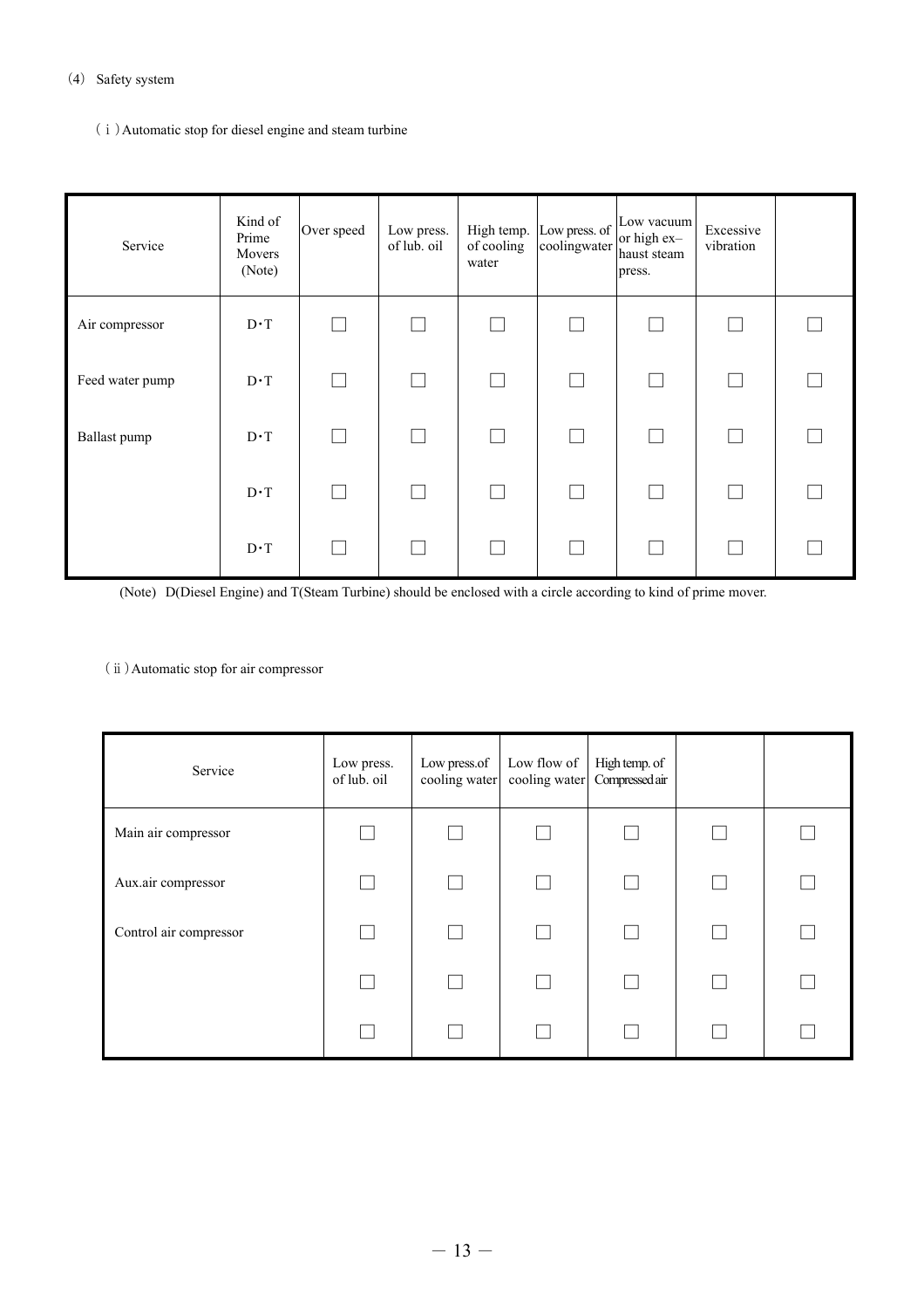#### (4) Safety system

(ⅰ)Automatic stop for diesel engine and steam turbine

| Service         | Kind of<br>Prime<br>Movers<br>(Note) | Over speed | Low press.<br>of lub. oil | High temp.<br>of cooling<br>water | Low press. of<br>coolingwater | Low vacuum<br>or high ex-<br>haust steam<br>press. | Excessive<br>vibration |  |
|-----------------|--------------------------------------|------------|---------------------------|-----------------------------------|-------------------------------|----------------------------------------------------|------------------------|--|
| Air compressor  | $D \cdot T$                          |            |                           |                                   |                               |                                                    |                        |  |
| Feed water pump | $D \cdot T$                          |            |                           |                                   |                               |                                                    |                        |  |
| Ballast pump    | $D \cdot T$                          |            |                           |                                   |                               |                                                    |                        |  |
|                 | $D \cdot T$                          |            |                           |                                   |                               |                                                    |                        |  |
|                 | $D \cdot T$                          |            |                           |                                   |                               |                                                    |                        |  |

(Note) D(Diesel Engine) and T(Steam Turbine) should be enclosed with a circle according to kind of prime mover.

## (ⅱ)Automatic stop for air compressor

| Service                | Low press.<br>of lub. oil | Low press.of<br>cooling water | Low flow of | High temp. of<br>cooling water Compressed air |  |
|------------------------|---------------------------|-------------------------------|-------------|-----------------------------------------------|--|
| Main air compressor    |                           |                               |             |                                               |  |
| Aux.air compressor     |                           |                               |             |                                               |  |
| Control air compressor |                           |                               |             |                                               |  |
|                        |                           |                               |             |                                               |  |
|                        |                           |                               |             |                                               |  |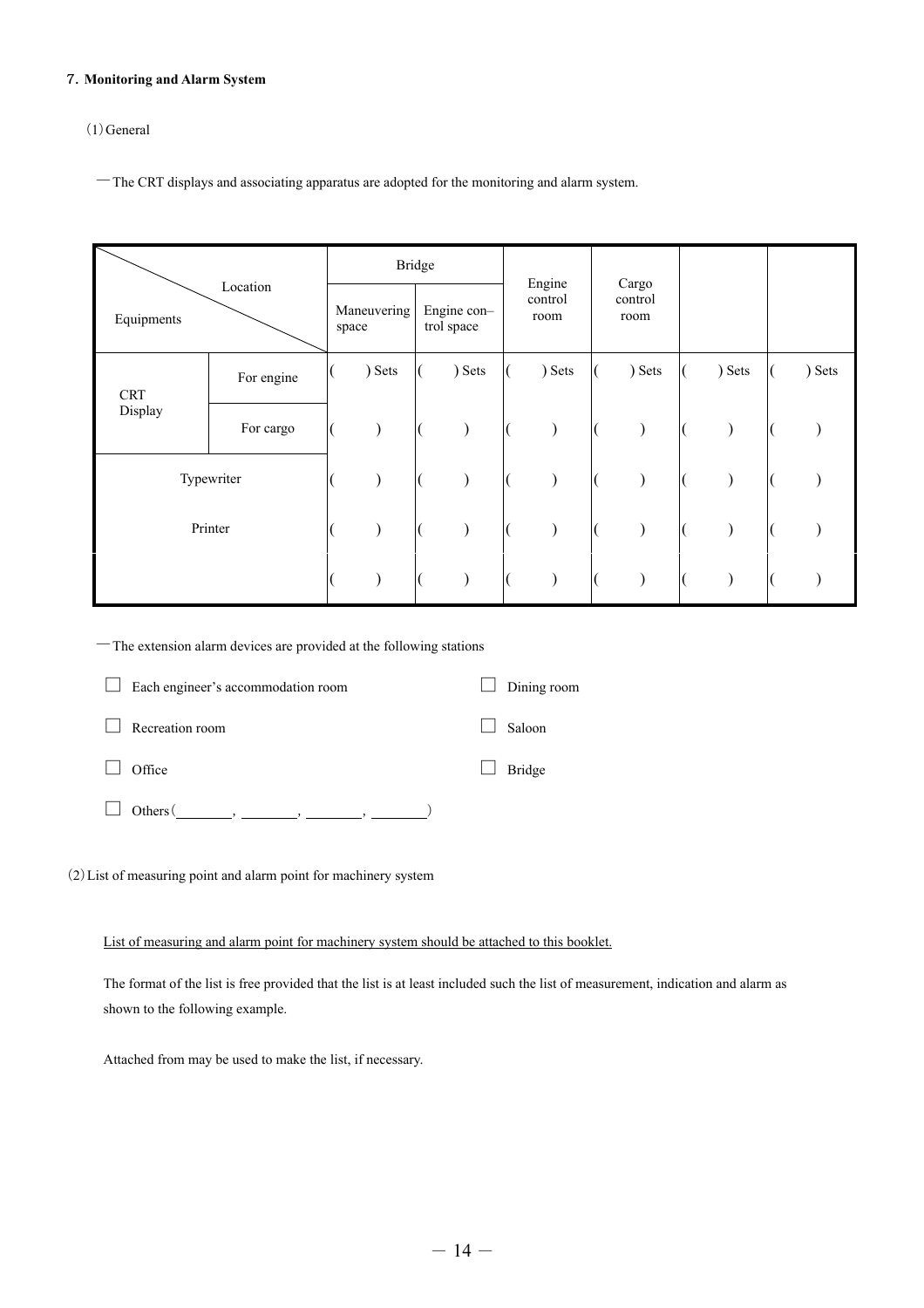#### 7.**Monitoring and Alarm System**

# (1)General

-The CRT displays and associating apparatus are adopted for the monitoring and alarm system.

|                        |            |  | <b>Bridge</b>        |  |                           |                 | Engine |                 | Cargo  |        |        |
|------------------------|------------|--|----------------------|--|---------------------------|-----------------|--------|-----------------|--------|--------|--------|
| Location<br>Equipments |            |  | Maneuvering<br>space |  | Engine con-<br>trol space | control<br>room |        | control<br>room |        |        |        |
| <b>CRT</b>             | For engine |  | ) Sets               |  | ) Sets                    |                 | ) Sets |                 | ) Sets | ) Sets | ) Sets |
| Display                | For cargo  |  |                      |  |                           |                 |        |                 |        |        |        |
| Typewriter             |            |  |                      |  |                           |                 |        |                 |        |        |        |
| Printer                |            |  |                      |  |                           |                 |        |                 |        |        |        |
|                        |            |  |                      |  |                           |                 |        |                 |        |        |        |

-The extension alarm devices are provided at the following stations

| Each engineer's accommodation room | Dining room   |
|------------------------------------|---------------|
| Recreation room                    | Saloon        |
| Office                             | <b>Bridge</b> |
| Others (                           |               |

(2)List of measuring point and alarm point for machinery system

List of measuring and alarm point for machinery system should be attached to this booklet.

The format of the list is free provided that the list is at least included such the list of measurement, indication and alarm as shown to the following example.

Attached from may be used to make the list, if necessary.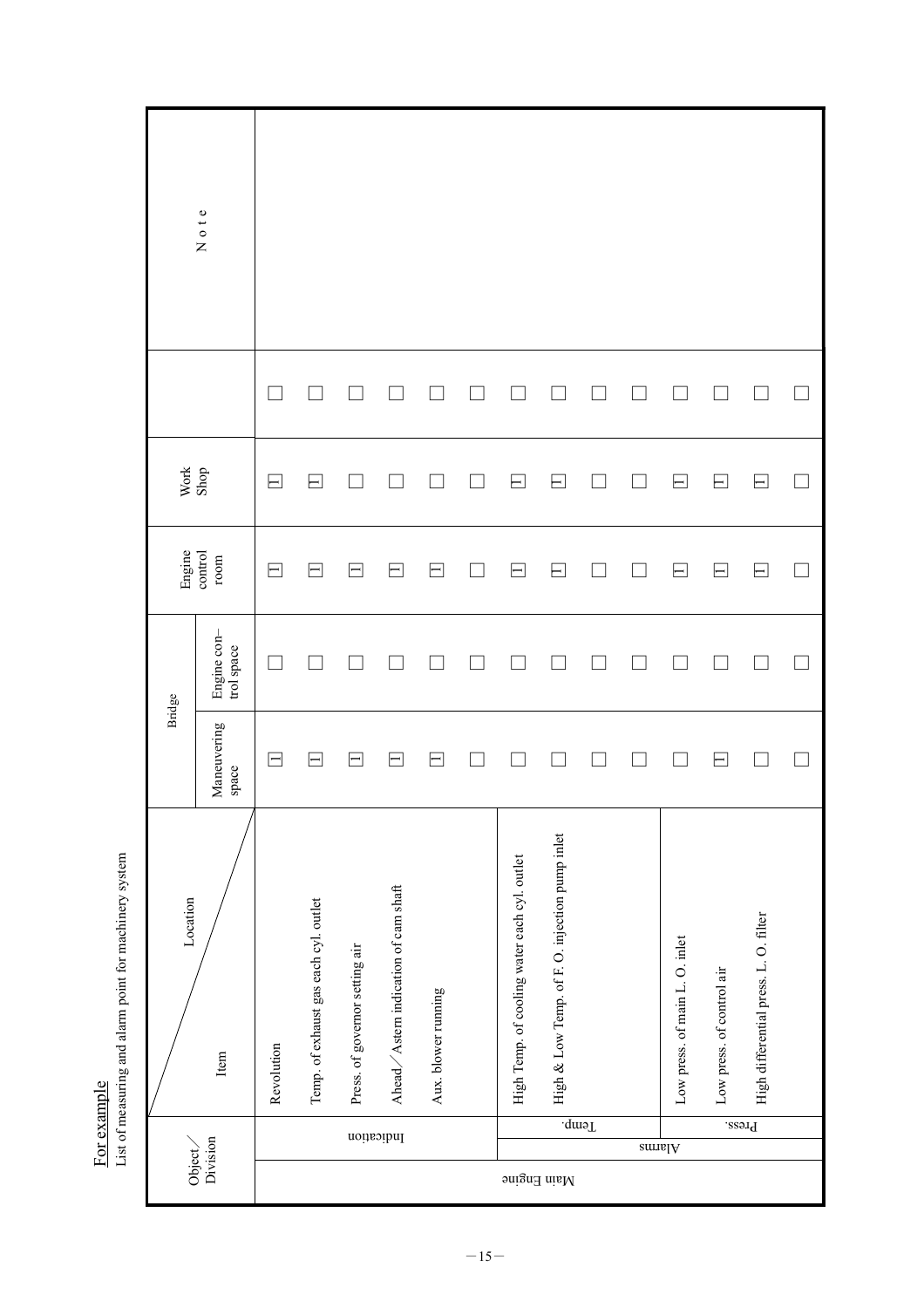Note  $Sho$  Note  $\Box$  $\Box$  $\Box$  $\Box$  $\Box$  $\Box$  $\Box$  $\Box$  $\Box$  $\Box$  $\Box$  $\Box$  $\Box$  $\Box$ Revolution □ □ □□□ Temp. of exhaust gas each cyl. outlet □ □ □□□ Press. of governor setting air □ □ □□□ Ahead/Astern indication of cam shaft □ □ □□□ Aux. blower running □ □ □□□ □ □ □ □ □ High Temp. of cooling water each cyl. outlet □ □ □□□ High & Low Xew Xew Xew Yearp. △ Now Temp. 10 □ □ □ □ □ □ □ □ □ □ □ □ □ □ □ □ □ □ □ □ □ □ □ □ □ □ Low press. of main L. O. inlet □ □ □□□ Low press. of control air □ □ □□□ High differential press. L. O. Filter □ □ □ □ □ □ □ □ □ □ □ □ □ □ □ □ □ □ □ □ □ □ Work<br>Shop  $\Box$  $\hfill \square$  $\Box$  $\Box$  $\Box$  $\overline{\phantom{a}}$  $\Box$ -— ⊢ ⊢ -—  $\overline{\phantom{0}}$ Engine control room  $\boxminus$  $\Box$  $\Box$  $\Box$  $\Box$  $\Box$  $\overline{\phantom{0}}$  $\overline{\phantom{0}}$ — -1 1  $\overline{\phantom{0}}$ ⊢ - $\overline{\phantom{0}}$ Engine con-<br>trol space Engine con–  $\Box$  $\Box$  $\Box$  $\Box$  $\Box$  $\Box$  $\Box$  $\Box$  $\Box$  $\Box$  $\Box$  $\Box$  $\Box$  $\Box$ Bridge Maneuvering<br>space Item  $\blacksquare$  $\overline{\phantom{a}}$  $\hfill \square$  $\Box$  $\Box$  $\Box$  $\Box$  $\hfill \square$  $\Box$  $\Box$ —  $\overline{\phantom{0}}$  $\overline{\phantom{0}}$  $\overline{\phantom{0}}$ — High & Low Temp. of F. O. injection pump inlet High Temp. of cooling water each cyl. outlet Ahead $\diagup$  Astern indication of cam shaft Location Temp. of exhaust gas each cyl. outlet High differential press. L. O. filter Low press. of main L. O. inlet Press. of governor setting air Low press. of control air Aux. blower running Revolution Item Temp. Press. Indication Object/ Division Alarms Main Engine

List of measuring and alarm point for machinery system List of measuring and alarm point for machinery system For example For example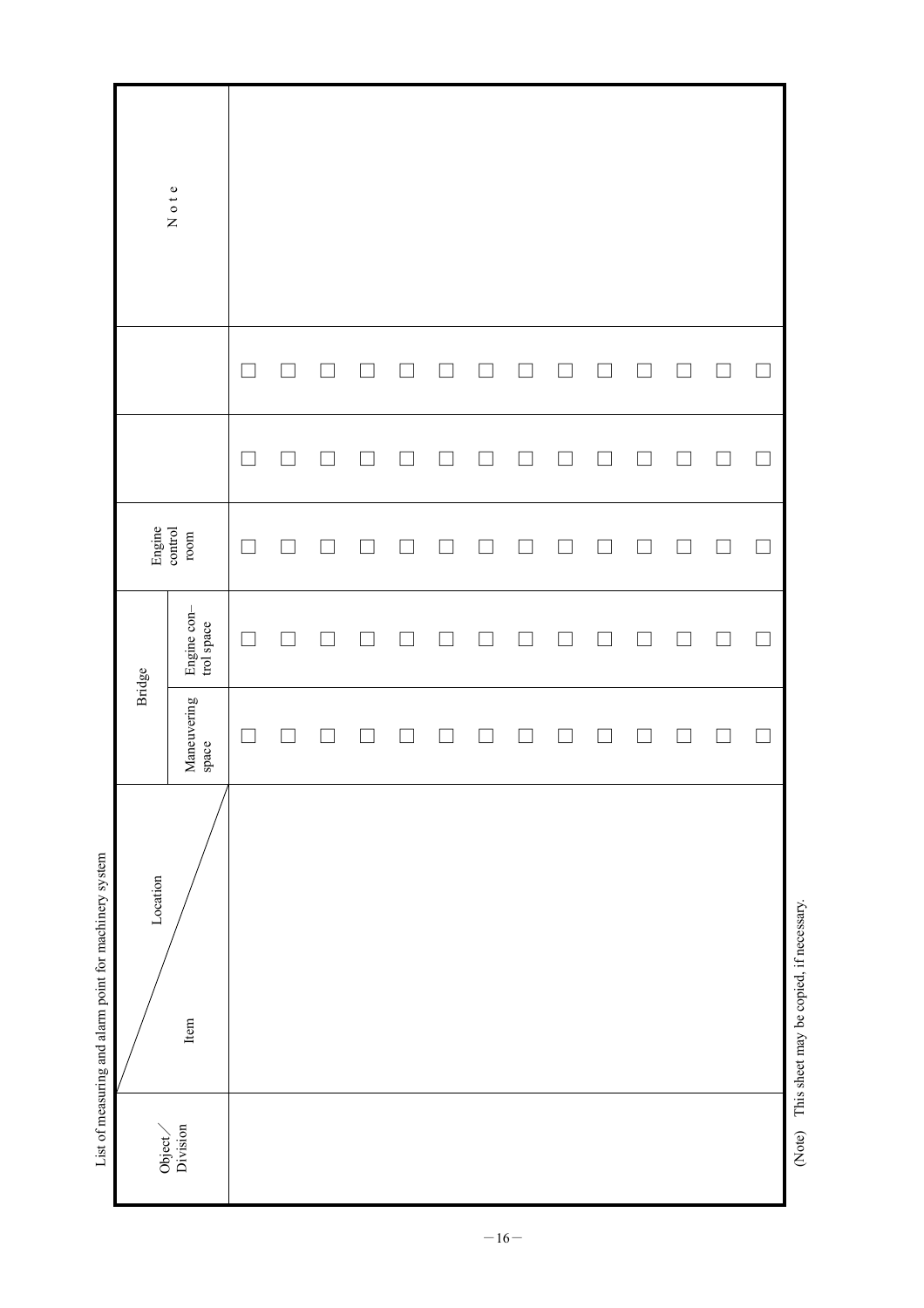|                                                        | Note              |                                                                             |        |  |                |        |  |  |                          |        |                                         |
|--------------------------------------------------------|-------------------|-----------------------------------------------------------------------------|--------|--|----------------|--------|--|--|--------------------------|--------|-----------------------------------------|
|                                                        |                   |                                                                             | $\Box$ |  |                | $\Box$ |  |  | ×                        | $\Box$ |                                         |
|                                                        |                   |                                                                             |        |  |                |        |  |  | $\overline{\phantom{a}}$ | $\Box$ |                                         |
|                                                        | Engine<br>control | $_{\rm room}$                                                               |        |  |                |        |  |  | $\mathcal{L}$            | $\Box$ |                                         |
|                                                        | Bridge            | Engine con-<br>trol space                                                   |        |  |                |        |  |  |                          | $\Box$ |                                         |
|                                                        |                   | Maneuvering<br>space                                                        |        |  | <b>College</b> |        |  |  | ×                        | $\Box$ |                                         |
| List of measuring and alarm point for machinery system | Location          | Item                                                                        |        |  |                |        |  |  |                          |        | This sheet may be copied, if necessary. |
|                                                        |                   | $\begin{array}{c} \mathrm{Object} \diagup \\ \mathrm{Division} \end{array}$ |        |  |                |        |  |  |                          |        | (Note)                                  |